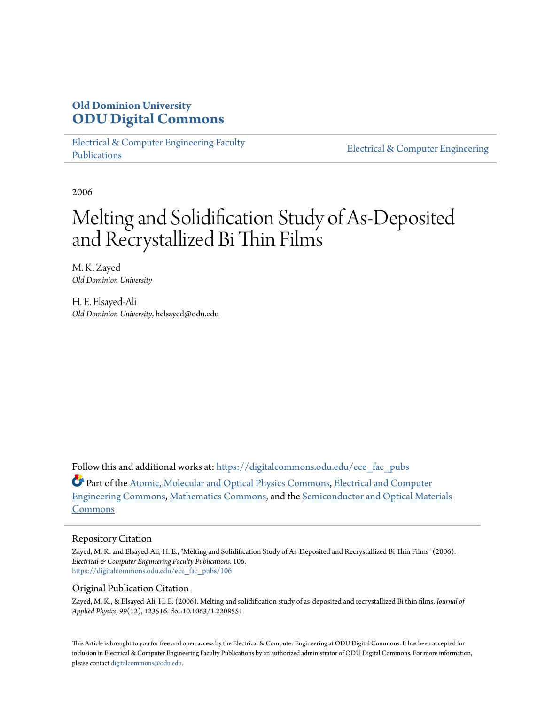# **Old Dominion University [ODU Digital Commons](https://digitalcommons.odu.edu?utm_source=digitalcommons.odu.edu%2Fece_fac_pubs%2F106&utm_medium=PDF&utm_campaign=PDFCoverPages)**

[Electrical & Computer Engineering Faculty](https://digitalcommons.odu.edu/ece_fac_pubs?utm_source=digitalcommons.odu.edu%2Fece_fac_pubs%2F106&utm_medium=PDF&utm_campaign=PDFCoverPages) [Publications](https://digitalcommons.odu.edu/ece_fac_pubs?utm_source=digitalcommons.odu.edu%2Fece_fac_pubs%2F106&utm_medium=PDF&utm_campaign=PDFCoverPages)

[Electrical & Computer Engineering](https://digitalcommons.odu.edu/ece?utm_source=digitalcommons.odu.edu%2Fece_fac_pubs%2F106&utm_medium=PDF&utm_campaign=PDFCoverPages)

2006

# Melting and Solidification Study of As-Deposited and Recrystallized Bi Thin Films

M. K. Zayed *Old Dominion University*

H. E. Elsayed-Ali *Old Dominion University*, helsayed@odu.edu

Follow this and additional works at: [https://digitalcommons.odu.edu/ece\\_fac\\_pubs](https://digitalcommons.odu.edu/ece_fac_pubs?utm_source=digitalcommons.odu.edu%2Fece_fac_pubs%2F106&utm_medium=PDF&utm_campaign=PDFCoverPages)

Part of the [Atomic, Molecular and Optical Physics Commons,](http://network.bepress.com/hgg/discipline/195?utm_source=digitalcommons.odu.edu%2Fece_fac_pubs%2F106&utm_medium=PDF&utm_campaign=PDFCoverPages) [Electrical and Computer](http://network.bepress.com/hgg/discipline/266?utm_source=digitalcommons.odu.edu%2Fece_fac_pubs%2F106&utm_medium=PDF&utm_campaign=PDFCoverPages) [Engineering Commons,](http://network.bepress.com/hgg/discipline/266?utm_source=digitalcommons.odu.edu%2Fece_fac_pubs%2F106&utm_medium=PDF&utm_campaign=PDFCoverPages) [Mathematics Commons](http://network.bepress.com/hgg/discipline/174?utm_source=digitalcommons.odu.edu%2Fece_fac_pubs%2F106&utm_medium=PDF&utm_campaign=PDFCoverPages), and the [Semiconductor and Optical Materials](http://network.bepress.com/hgg/discipline/290?utm_source=digitalcommons.odu.edu%2Fece_fac_pubs%2F106&utm_medium=PDF&utm_campaign=PDFCoverPages) [Commons](http://network.bepress.com/hgg/discipline/290?utm_source=digitalcommons.odu.edu%2Fece_fac_pubs%2F106&utm_medium=PDF&utm_campaign=PDFCoverPages)

# Repository Citation

Zayed, M. K. and Elsayed-Ali, H. E., "Melting and Solidification Study of As-Deposited and Recrystallized Bi Thin Films" (2006). *Electrical & Computer Engineering Faculty Publications*. 106. [https://digitalcommons.odu.edu/ece\\_fac\\_pubs/106](https://digitalcommons.odu.edu/ece_fac_pubs/106?utm_source=digitalcommons.odu.edu%2Fece_fac_pubs%2F106&utm_medium=PDF&utm_campaign=PDFCoverPages)

# Original Publication Citation

Zayed, M. K., & Elsayed-Ali, H. E. (2006). Melting and solidification study of as-deposited and recrystallized Bi thin films. *Journal of Applied Physics, 99*(12), 123516. doi:10.1063/1.2208551

This Article is brought to you for free and open access by the Electrical & Computer Engineering at ODU Digital Commons. It has been accepted for inclusion in Electrical & Computer Engineering Faculty Publications by an authorized administrator of ODU Digital Commons. For more information, please contact [digitalcommons@odu.edu](mailto:digitalcommons@odu.edu).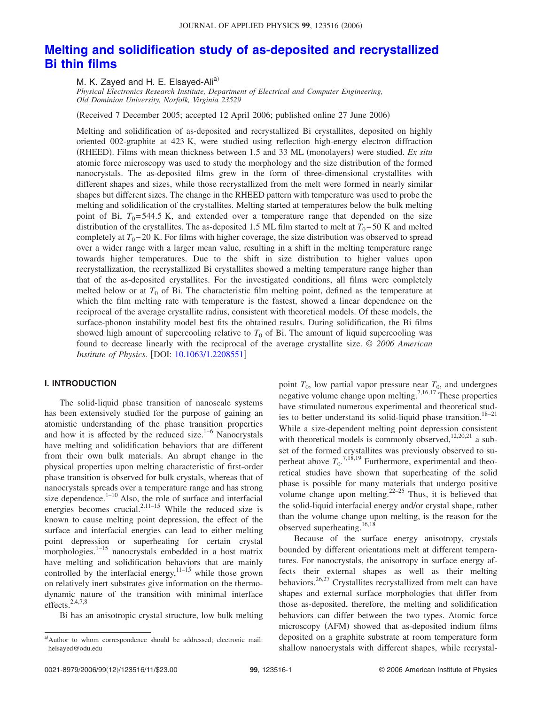# **[Melting and solidification study of as-deposited and recrystallized](http://dx.doi.org/10.1063/1.2208551) [Bi thin films](http://dx.doi.org/10.1063/1.2208551)**

M. K. Zayed and H. E. Elsayed-Ali<sup>a)</sup>

*Physical Electronics Research Institute, Department of Electrical and Computer Engineering, Old Dominion University, Norfolk, Virginia 23529*

(Received 7 December 2005; accepted 12 April 2006; published online 27 June 2006)

Melting and solidification of as-deposited and recrystallized Bi crystallites, deposited on highly oriented 002-graphite at 423 K, were studied using reflection high-energy electron diffraction (RHEED). Films with mean thickness between 1.5 and 33 ML (monolayers) were studied. *Ex situ* atomic force microscopy was used to study the morphology and the size distribution of the formed nanocrystals. The as-deposited films grew in the form of three-dimensional crystallites with different shapes and sizes, while those recrystallized from the melt were formed in nearly similar shapes but different sizes. The change in the RHEED pattern with temperature was used to probe the melting and solidification of the crystallites. Melting started at temperatures below the bulk melting point of Bi,  $T_0 = 544.5$  K, and extended over a temperature range that depended on the size distribution of the crystallites. The as-deposited 1.5 ML film started to melt at  $T_0$ –50 K and melted completely at *T*0− 20 K. For films with higher coverage, the size distribution was observed to spread over a wider range with a larger mean value, resulting in a shift in the melting temperature range towards higher temperatures. Due to the shift in size distribution to higher values upon recrystallization, the recrystallized Bi crystallites showed a melting temperature range higher than that of the as-deposited crystallites. For the investigated conditions, all films were completely melted below or at  $T_0$  of Bi. The characteristic film melting point, defined as the temperature at which the film melting rate with temperature is the fastest, showed a linear dependence on the reciprocal of the average crystallite radius, consistent with theoretical models. Of these models, the surface-phonon instability model best fits the obtained results. During solidification, the Bi films showed high amount of supercooling relative to  $T<sub>0</sub>$  of Bi. The amount of liquid supercooling was found to decrease linearly with the reciprocal of the average crystallite size. © *2006 American Institute of Physics.* [DOI: [10.1063/1.2208551](http://dx.doi.org/10.1063/1.2208551)]

## **I. INTRODUCTION**

The solid-liquid phase transition of nanoscale systems has been extensively studied for the purpose of gaining an atomistic understanding of the phase transition properties and how it is affected by the reduced size. $1-6$  Nanocrystals have melting and solidification behaviors that are different from their own bulk materials. An abrupt change in the physical properties upon melting characteristic of first-order phase transition is observed for bulk crystals, whereas that of nanocrystals spreads over a temperature range and has strong size dependence. $1-10$  Also, the role of surface and interfacial energies becomes crucial.<sup>2,11–15</sup> While the reduced size is known to cause melting point depression, the effect of the surface and interfacial energies can lead to either melting point depression or superheating for certain crystal morphologies. $1-15$  nanocrystals embedded in a host matrix have melting and solidification behaviors that are mainly controlled by the interfacial energy, $11-15$  while those grown on relatively inert substrates give information on the thermodynamic nature of the transition with minimal interface effects.<sup>2,4,7,8</sup>

Bi has an anisotropic crystal structure, low bulk melting

point  $T_0$ , low partial vapor pressure near  $T_0$ , and undergoes negative volume change upon melting.<sup>7,16,17</sup> These properties have stimulated numerous experimental and theoretical studies to better understand its solid-liquid phase transition.<sup>18–21</sup> While a size-dependent melting point depression consistent with theoretical models is commonly observed, $12,20,21$  a subset of the formed crystallites was previously observed to superheat above  $T_0^{7,18,19}$  Furthermore, experimental and theoretical studies have shown that superheating of the solid phase is possible for many materials that undergo positive volume change upon melting.<sup>22–25</sup> Thus, it is believed that the solid-liquid interfacial energy and/or crystal shape, rather than the volume change upon melting, is the reason for the observed superheating.16,18

Because of the surface energy anisotropy, crystals bounded by different orientations melt at different temperatures. For nanocrystals, the anisotropy in surface energy affects their external shapes as well as their melting behaviors. $26,27$  Crystallites recrystallized from melt can have shapes and external surface morphologies that differ from those as-deposited, therefore, the melting and solidification behaviors can differ between the two types. Atomic force microscopy (AFM) showed that as-deposited indium films deposited on a graphite substrate at room temperature form shallow nanocrystals with different shapes, while recrystal-

a)Author to whom correspondence should be addressed; electronic mail: helsayed@odu.edu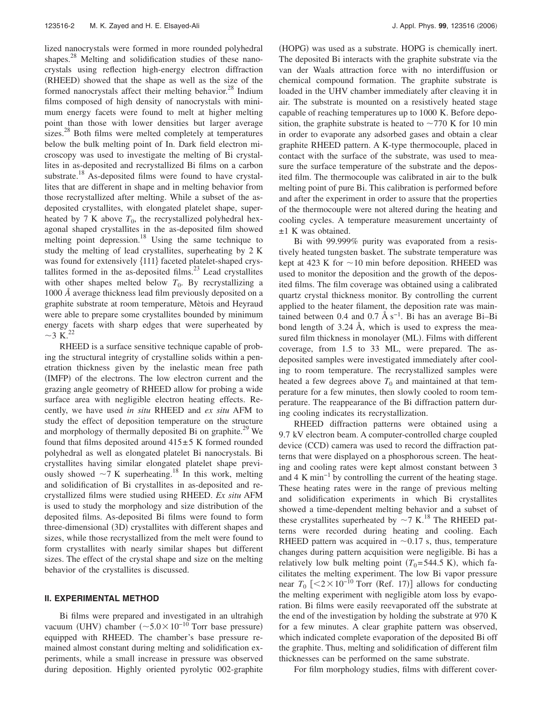lized nanocrystals were formed in more rounded polyhedral shapes.<sup>28</sup> Melting and solidification studies of these nanocrystals using reflection high-energy electron diffraction (RHEED) showed that the shape as well as the size of the formed nanocrystals affect their melting behavior.<sup>28</sup> Indium films composed of high density of nanocrystals with minimum energy facets were found to melt at higher melting point than those with lower densities but larger average sizes.<sup>28</sup> Both films were melted completely at temperatures below the bulk melting point of In. Dark field electron microscopy was used to investigate the melting of Bi crystallites in as-deposited and recrystallized Bi films on a carbon substrate.<sup>18</sup> As-deposited films were found to have crystallites that are different in shape and in melting behavior from those recrystallized after melting. While a subset of the asdeposited crystallites, with elongated platelet shape, superheated by 7 K above  $T_0$ , the recrystallized polyhedral hexagonal shaped crystallites in the as-deposited film showed melting point depression.<sup>18</sup> Using the same technique to study the melting of lead crystallites, superheating by 2 K was found for extensively  $\{111\}$  faceted platelet-shaped crystallites formed in the as-deposited films. $2<sup>3</sup>$  Lead crystallites with other shapes melted below  $T_0$ . By recrystallizing a 1000 *Å* average thickness lead film previously deposited on a graphite substrate at room temperature, Mètois and Heyraud were able to prepare some crystallites bounded by minimum energy facets with sharp edges that were superheated by  $\sim$ 3 K.<sup>22</sup>

RHEED is a surface sensitive technique capable of probing the structural integrity of crystalline solids within a penetration thickness given by the inelastic mean free path (IMFP) of the electrons. The low electron current and the grazing angle geometry of RHEED allow for probing a wide surface area with negligible electron heating effects. Recently, we have used *in situ* RHEED and *ex situ* AFM to study the effect of deposition temperature on the structure and morphology of thermally deposited Bi on graphite.<sup>29</sup> We found that films deposited around  $415±5$  K formed rounded polyhedral as well as elongated platelet Bi nanocrystals. Bi crystallites having similar elongated platelet shape previously showed  $\sim$  7 K superheating.<sup>18</sup> In this work, melting and solidification of Bi crystallites in as-deposited and recrystallized films were studied using RHEED. *Ex situ* AFM is used to study the morphology and size distribution of the deposited films. As-deposited Bi films were found to form three-dimensional (3D) crystallites with different shapes and sizes, while those recrystallized from the melt were found to form crystallites with nearly similar shapes but different sizes. The effect of the crystal shape and size on the melting behavior of the crystallites is discussed.

#### **II. EXPERIMENTAL METHOD**

Bi films were prepared and investigated in an ultrahigh vacuum (UHV) chamber  $({\sim}5.0\times10^{-10}$  Torr base pressure) equipped with RHEED. The chamber's base pressure remained almost constant during melting and solidification experiments, while a small increase in pressure was observed during deposition. Highly oriented pyrolytic 002-graphite

(HOPG) was used as a substrate. HOPG is chemically inert. The deposited Bi interacts with the graphite substrate via the van der Waals attraction force with no interdiffusion or chemical compound formation. The graphite substrate is loaded in the UHV chamber immediately after cleaving it in air. The substrate is mounted on a resistively heated stage capable of reaching temperatures up to 1000 K. Before deposition, the graphite substrate is heated to  $\sim$ 770 K for 10 min in order to evaporate any adsorbed gases and obtain a clear graphite RHEED pattern. A K-type thermocouple, placed in contact with the surface of the substrate, was used to measure the surface temperature of the substrate and the deposited film. The thermocouple was calibrated in air to the bulk melting point of pure Bi. This calibration is performed before and after the experiment in order to assure that the properties of the thermocouple were not altered during the heating and cooling cycles. A temperature measurement uncertainty of ±1 K was obtained.

Bi with 99.999% purity was evaporated from a resistively heated tungsten basket. The substrate temperature was kept at 423 K for  $\sim$  10 min before deposition. RHEED was used to monitor the deposition and the growth of the deposited films. The film coverage was obtained using a calibrated quartz crystal thickness monitor. By controlling the current applied to the heater filament, the deposition rate was maintained between 0.4 and 0.7 Å s<sup>-1</sup>. Bi has an average Bi–Bi bond length of 3.24 Å, which is used to express the measured film thickness in monolayer (ML). Films with different coverage, from 1.5 to 33 ML, were prepared. The asdeposited samples were investigated immediately after cooling to room temperature. The recrystallized samples were heated a few degrees above  $T_0$  and maintained at that temperature for a few minutes, then slowly cooled to room temperature. The reappearance of the Bi diffraction pattern during cooling indicates its recrystallization.

RHEED diffraction patterns were obtained using a 9.7 kV electron beam. A computer-controlled charge coupled device (CCD) camera was used to record the diffraction patterns that were displayed on a phosphorous screen. The heating and cooling rates were kept almost constant between 3 and 4 K min−1 by controlling the current of the heating stage. These heating rates were in the range of previous melting and solidification experiments in which Bi crystallites showed a time-dependent melting behavior and a subset of these crystallites superheated by  $\sim$  7 K.<sup>18</sup> The RHEED patterns were recorded during heating and cooling. Each RHEED pattern was acquired in  $\sim 0.17$  s, thus, temperature changes during pattern acquisition were negligible. Bi has a relatively low bulk melting point  $(T_0 = 544.5 \text{ K})$ , which facilitates the melting experiment. The low Bi vapor pressure near  $T_0$  [ $\leq 2 \times 10^{-10}$  Torr (Ref. 17)] allows for conducting the melting experiment with negligible atom loss by evaporation. Bi films were easily reevaporated off the substrate at the end of the investigation by holding the substrate at 970 K for a few minutes. A clear graphite pattern was observed, which indicated complete evaporation of the deposited Bi off the graphite. Thus, melting and solidification of different film thicknesses can be performed on the same substrate.

For film morphology studies, films with different cover-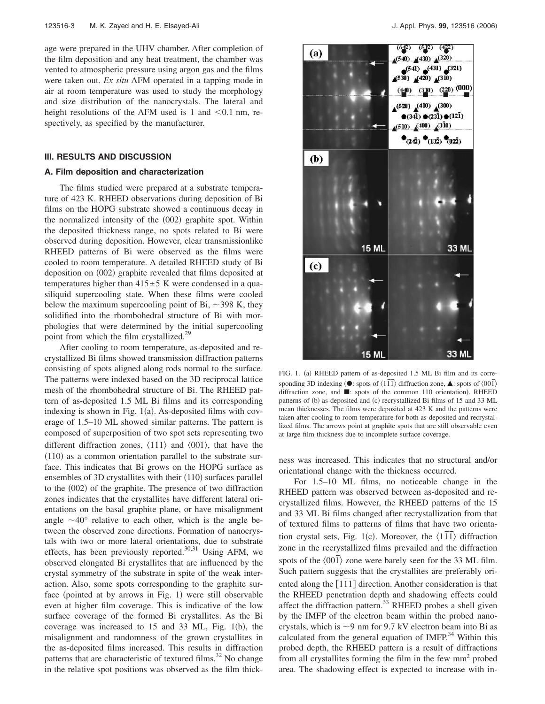age were prepared in the UHV chamber. After completion of the film deposition and any heat treatment, the chamber was vented to atmospheric pressure using argon gas and the films were taken out. *Ex situ* AFM operated in a tapping mode in air at room temperature was used to study the morphology and size distribution of the nanocrystals. The lateral and height resolutions of the AFM used is 1 and  $\leq 0.1$  nm, respectively, as specified by the manufacturer.

#### **III. RESULTS AND DISCUSSION**

#### **A. Film deposition and characterization**

The films studied were prepared at a substrate temperature of 423 K. RHEED observations during deposition of Bi films on the HOPG substrate showed a continuous decay in the normalized intensity of the (002) graphite spot. Within the deposited thickness range, no spots related to Bi were observed during deposition. However, clear transmissionlike RHEED patterns of Bi were observed as the films were cooled to room temperature. A detailed RHEED study of Bi deposition on (002) graphite revealed that films deposited at temperatures higher than  $415±5$  K were condensed in a quasiliquid supercooling state. When these films were cooled below the maximum supercooling point of Bi,  $\sim$ 398 K, they solidified into the rhombohedral structure of Bi with morphologies that were determined by the initial supercooling point from which the film crystallized.<sup>29</sup>

After cooling to room temperature, as-deposited and recrystallized Bi films showed transmission diffraction patterns consisting of spots aligned along rods normal to the surface. The patterns were indexed based on the 3D reciprocal lattice mesh of the rhombohedral structure of Bi. The RHEED pattern of as-deposited 1.5 ML Bi films and its corresponding indexing is shown in Fig. 1(a). As-deposited films with coverage of 1.5–10 ML showed similar patterns. The pattern is composed of superposition of two spot sets representing two different diffraction zones,  $\langle 111 \rangle$  and  $\langle 001 \rangle$ , that have the  $(110)$  as a common orientation parallel to the substrate surface. This indicates that Bi grows on the HOPG surface as ensembles of 3D crystallites with their (110) surfaces parallel to the (002) of the graphite. The presence of two diffraction zones indicates that the crystallites have different lateral orientations on the basal graphite plane, or have misalignment angle  $\sim 40^{\circ}$  relative to each other, which is the angle between the observed zone directions. Formation of nanocrystals with two or more lateral orientations, due to substrate effects, has been previously reported. $30,31$  Using AFM, we observed elongated Bi crystallites that are influenced by the crystal symmetry of the substrate in spite of the weak interaction. Also, some spots corresponding to the graphite surface (pointed at by arrows in Fig. 1) were still observable even at higher film coverage. This is indicative of the low surface coverage of the formed Bi crystallites. As the Bi coverage was increased to  $15$  and  $33$  ML, Fig.  $1(b)$ , the misalignment and randomness of the grown crystallites in the as-deposited films increased. This results in diffraction patterns that are characteristic of textured films.<sup>32</sup> No change in the relative spot positions was observed as the film thick-



FIG. 1. (a) RHEED pattern of as-deposited 1.5 ML Bi film and its corresponding 3D indexing  $(\bullet)$ : spots of  $\langle 1\overline{11}\rangle$  diffraction zone,  $\blacktriangle$ : spots of  $\langle 00\overline{1}\rangle$ diffraction zone, and : spots of the common 110 orientation). RHEED patterns of (b) as-deposited and (c) recrystallized Bi films of 15 and 33 ML mean thicknesses. The films were deposited at 423 K and the patterns were taken after cooling to room temperature for both as-deposited and recrystallized films. The arrows point at graphite spots that are still observable even at large film thickness due to incomplete surface coverage.

ness was increased. This indicates that no structural and/or orientational change with the thickness occurred.

For 1.5–10 ML films, no noticeable change in the RHEED pattern was observed between as-deposited and recrystallized films. However, the RHEED patterns of the 15 and 33 ML Bi films changed after recrystallization from that of textured films to patterns of films that have two orientation crystal sets, Fig. 1(c). Moreover, the  $\langle 1\overline{11}\rangle$  diffraction zone in the recrystallized films prevailed and the diffraction spots of the  $\langle 001 \rangle$  zone were barely seen for the 33 ML film. Such pattern suggests that the crystallites are preferably oriented along the [1<sup>11</sup>] direction. Another consideration is that the RHEED penetration depth and shadowing effects could affect the diffraction pattern.<sup>33</sup> RHEED probes a shell given by the IMFP of the electron beam within the probed nanocrystals, which is  $\sim$ 9 nm for 9.7 kV electron beam into Bi as calculated from the general equation of  $IMFP<sup>34</sup>$ . Within this probed depth, the RHEED pattern is a result of diffractions from all crystallites forming the film in the few mm2 probed area. The shadowing effect is expected to increase with in-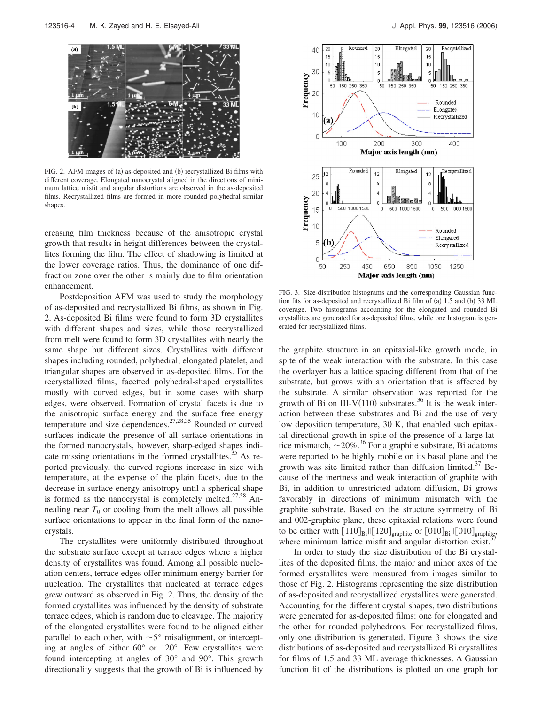

FIG. 2. AFM images of (a) as-deposited and (b) recrystallized Bi films with different coverage. Elongated nanocrystal aligned in the directions of minimum lattice misfit and angular distortions are observed in the as-deposited films. Recrystallized films are formed in more rounded polyhedral similar shapes.

creasing film thickness because of the anisotropic crystal growth that results in height differences between the crystallites forming the film. The effect of shadowing is limited at the lower coverage ratios. Thus, the dominance of one diffraction zone over the other is mainly due to film orientation enhancement.

Postdeposition AFM was used to study the morphology of as-deposited and recrystallized Bi films, as shown in Fig. 2. As-deposited Bi films were found to form 3D crystallites with different shapes and sizes, while those recrystallized from melt were found to form 3D crystallites with nearly the same shape but different sizes. Crystallites with different shapes including rounded, polyhedral, elongated platelet, and triangular shapes are observed in as-deposited films. For the recrystallized films, facetted polyhedral-shaped crystallites mostly with curved edges, but in some cases with sharp edges, were observed. Formation of crystal facets is due to the anisotropic surface energy and the surface free energy temperature and size dependences.27,28,35 Rounded or curved surfaces indicate the presence of all surface orientations in the formed nanocrystals, however, sharp-edged shapes indicate missing orientations in the formed crystallites.<sup>35</sup> As reported previously, the curved regions increase in size with temperature, at the expense of the plain facets, due to the decrease in surface energy anisotropy until a spherical shape is formed as the nanocrystal is completely melted.<sup>27,28</sup> Annealing near  $T_0$  or cooling from the melt allows all possible surface orientations to appear in the final form of the nanocrystals.

The crystallites were uniformly distributed throughout the substrate surface except at terrace edges where a higher density of crystallites was found. Among all possible nucleation centers, terrace edges offer minimum energy barrier for nucleation. The crystallites that nucleated at terrace edges grew outward as observed in Fig. 2. Thus, the density of the formed crystallites was influenced by the density of substrate terrace edges, which is random due to cleavage. The majority of the elongated crystallites were found to be aligned either parallel to each other, with  $\sim 5^{\circ}$  misalignment, or intercepting at angles of either 60° or 120°. Few crystallites were found intercepting at angles of 30° and 90°. This growth directionality suggests that the growth of Bi is influenced by



FIG. 3. Size-distribution histograms and the corresponding Gaussian function fits for as-deposited and recrystallized Bi film of (a) 1.5 and (b) 33 ML coverage. Two histograms accounting for the elongated and rounded Bi crystallites are generated for as-deposited films, while one histogram is generated for recrystallized films.

the graphite structure in an epitaxial-like growth mode, in spite of the weak interaction with the substrate. In this case the overlayer has a lattice spacing different from that of the substrate, but grows with an orientation that is affected by the substrate. A similar observation was reported for the growth of Bi on III-V(110) substrates.<sup>36</sup> It is the weak interaction between these substrates and Bi and the use of very low deposition temperature, 30 K, that enabled such epitaxial directional growth in spite of the presence of a large lattice mismatch,  $\sim$  20%.<sup>36</sup> For a graphite substrate, Bi adatoms were reported to be highly mobile on its basal plane and the growth was site limited rather than diffusion limited.<sup>37</sup> Because of the inertness and weak interaction of graphite with Bi, in addition to unrestricted adatom diffusion, Bi grows favorably in directions of minimum mismatch with the graphite substrate. Based on the structure symmetry of Bi and 002-graphite plane, these epitaxial relations were found to be either with  $[110]_{Bi}$  || $[120]_{graphite}$  or  $[010]_{Bi}$  || $[010]_{graphite}$ where minimum lattice misfit and angular distortion exist.

In order to study the size distribution of the Bi crystallites of the deposited films, the major and minor axes of the formed crystallites were measured from images similar to those of Fig. 2. Histograms representing the size distribution of as-deposited and recrystallized crystallites were generated. Accounting for the different crystal shapes, two distributions were generated for as-deposited films: one for elongated and the other for rounded polyhedrons. For recrystallized films, only one distribution is generated. Figure 3 shows the size distributions of as-deposited and recrystallized Bi crystallites for films of 1.5 and 33 ML average thicknesses. A Gaussian function fit of the distributions is plotted on one graph for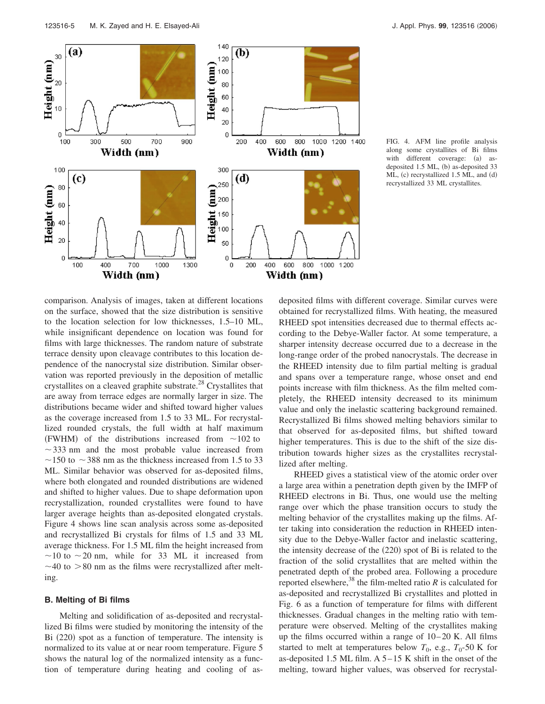

FIG. 4. AFM line profile analysis along some crystallites of Bi films with different coverage: (a) asdeposited 1.5 ML, (b) as-deposited 33 ML, (c) recrystallized 1.5 ML, and (d) recrystallized 33 ML crystallites.

comparison. Analysis of images, taken at different locations on the surface, showed that the size distribution is sensitive to the location selection for low thicknesses, 1.5–10 ML, while insignificant dependence on location was found for films with large thicknesses. The random nature of substrate terrace density upon cleavage contributes to this location dependence of the nanocrystal size distribution. Similar observation was reported previously in the deposition of metallic crystallites on a cleaved graphite substrate.<sup>28</sup> Crystallites that are away from terrace edges are normally larger in size. The distributions became wider and shifted toward higher values as the coverage increased from 1.5 to 33 ML. For recrystallized rounded crystals, the full width at half maximum (FWHM) of the distributions increased from  $\sim$ 102 to  $\sim$ 333 nm and the most probable value increased from  $\sim$ 150 to  $\sim$ 388 nm as the thickness increased from 1.5 to 33 ML. Similar behavior was observed for as-deposited films, where both elongated and rounded distributions are widened and shifted to higher values. Due to shape deformation upon recrystallization, rounded crystallites were found to have larger average heights than as-deposited elongated crystals. Figure 4 shows line scan analysis across some as-deposited and recrystallized Bi crystals for films of 1.5 and 33 ML average thickness. For 1.5 ML film the height increased from  $\sim$ 10 to  $\sim$  20 nm, while for 33 ML it increased from  $\sim$ 40 to  $>$ 80 nm as the films were recrystallized after melting.

### **B. Melting of Bi films**

Melting and solidification of as-deposited and recrystallized Bi films were studied by monitoring the intensity of the Bi (220) spot as a function of temperature. The intensity is normalized to its value at or near room temperature. Figure 5 shows the natural log of the normalized intensity as a function of temperature during heating and cooling of asdeposited films with different coverage. Similar curves were obtained for recrystallized films. With heating, the measured RHEED spot intensities decreased due to thermal effects according to the Debye-Waller factor. At some temperature, a sharper intensity decrease occurred due to a decrease in the long-range order of the probed nanocrystals. The decrease in the RHEED intensity due to film partial melting is gradual and spans over a temperature range, whose onset and end points increase with film thickness. As the film melted completely, the RHEED intensity decreased to its minimum value and only the inelastic scattering background remained. Recrystallized Bi films showed melting behaviors similar to that observed for as-deposited films, but shifted toward higher temperatures. This is due to the shift of the size distribution towards higher sizes as the crystallites recrystallized after melting.

RHEED gives a statistical view of the atomic order over a large area within a penetration depth given by the IMFP of RHEED electrons in Bi. Thus, one would use the melting range over which the phase transition occurs to study the melting behavior of the crystallites making up the films. After taking into consideration the reduction in RHEED intensity due to the Debye-Waller factor and inelastic scattering, the intensity decrease of the (220) spot of Bi is related to the fraction of the solid crystallites that are melted within the penetrated depth of the probed area. Following a procedure reported elsewhere,<sup>38</sup> the film-melted ratio  $R$  is calculated for as-deposited and recrystallized Bi crystallites and plotted in Fig. 6 as a function of temperature for films with different thicknesses. Gradual changes in the melting ratio with temperature were observed. Melting of the crystallites making up the films occurred within a range of  $10-20$  K. All films started to melt at temperatures below  $T_0$ , e.g.,  $T_0$ -50 K for as-deposited 1.5 ML film. A  $5-15$  K shift in the onset of the melting, toward higher values, was observed for recrystal-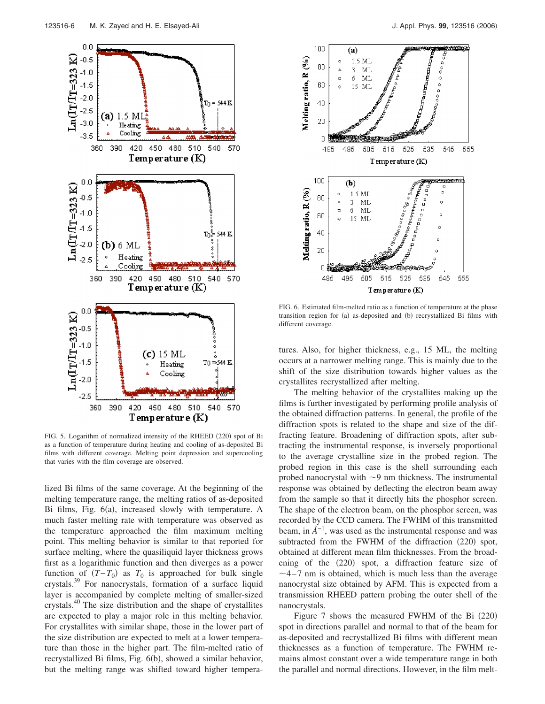

FIG. 5. Logarithm of normalized intensity of the RHEED (220) spot of Bi as a function of temperature during heating and cooling of as-deposited Bi films with different coverage. Melting point depression and supercooling that varies with the film coverage are observed.

lized Bi films of the same coverage. At the beginning of the melting temperature range, the melting ratios of as-deposited Bi films, Fig. 6(a), increased slowly with temperature. A much faster melting rate with temperature was observed as the temperature approached the film maximum melting point. This melting behavior is similar to that reported for surface melting, where the quasiliquid layer thickness grows first as a logarithmic function and then diverges as a power function of  $(T-T_0)$  as  $T_0$  is approached for bulk single crystals.39 For nanocrystals, formation of a surface liquid layer is accompanied by complete melting of smaller-sized crystals.40 The size distribution and the shape of crystallites are expected to play a major role in this melting behavior. For crystallites with similar shape, those in the lower part of the size distribution are expected to melt at a lower temperature than those in the higher part. The film-melted ratio of recrystallized Bi films, Fig. 6(b), showed a similar behavior, but the melting range was shifted toward higher tempera-



FIG. 6. Estimated film-melted ratio as a function of temperature at the phase transition region for (a) as-deposited and (b) recrystallized Bi films with different coverage.

tures. Also, for higher thickness, e.g., 15 ML, the melting occurs at a narrower melting range. This is mainly due to the shift of the size distribution towards higher values as the crystallites recrystallized after melting.

The melting behavior of the crystallites making up the films is further investigated by performing profile analysis of the obtained diffraction patterns. In general, the profile of the diffraction spots is related to the shape and size of the diffracting feature. Broadening of diffraction spots, after subtracting the instrumental response, is inversely proportional to the average crystalline size in the probed region. The probed region in this case is the shell surrounding each probed nanocrystal with  $\sim$ 9 nm thickness. The instrumental response was obtained by deflecting the electron beam away from the sample so that it directly hits the phosphor screen. The shape of the electron beam, on the phosphor screen, was recorded by the CCD camera. The FWHM of this transmitted beam, in *Å*−1, was used as the instrumental response and was subtracted from the FWHM of the diffraction (220) spot, obtained at different mean film thicknesses. From the broadening of the (220) spot, a diffraction feature size of  $\sim$ 4–7 nm is obtained, which is much less than the average nanocrystal size obtained by AFM. This is expected from a transmission RHEED pattern probing the outer shell of the nanocrystals.

Figure 7 shows the measured FWHM of the Bi (220) spot in directions parallel and normal to that of the beam for as-deposited and recrystallized Bi films with different mean thicknesses as a function of temperature. The FWHM remains almost constant over a wide temperature range in both the parallel and normal directions. However, in the film melt-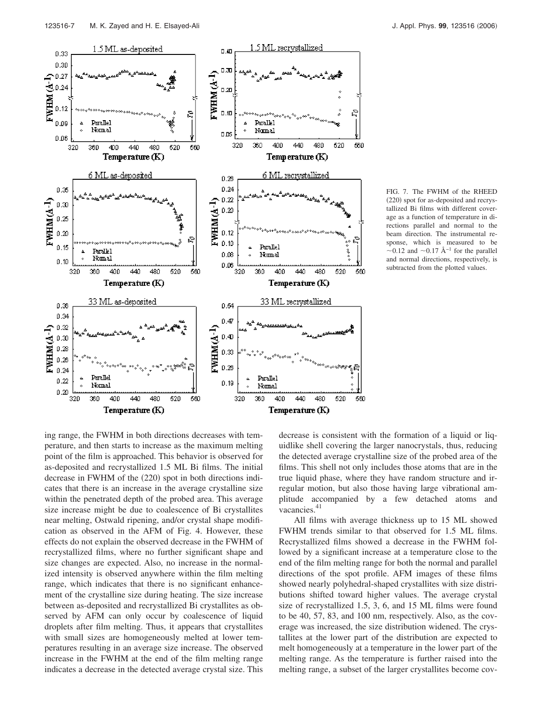

FIG. 7. The FWHM of the RHEED (220) spot for as-deposited and recrystallized Bi films with different coverage as a function of temperature in directions parallel and normal to the beam direction. The instrumental response, which is measured to be  $\sim$ 0.12 and  $\sim$ 0.17 Å<sup>-1</sup> for the parallel and normal directions, respectively, is subtracted from the plotted values.

ing range, the FWHM in both directions decreases with temperature, and then starts to increase as the maximum melting point of the film is approached. This behavior is observed for as-deposited and recrystallized 1.5 ML Bi films. The initial decrease in FWHM of the (220) spot in both directions indicates that there is an increase in the average crystalline size within the penetrated depth of the probed area. This average size increase might be due to coalescence of Bi crystallites near melting, Ostwald ripening, and/or crystal shape modification as observed in the AFM of Fig. 4. However, these effects do not explain the observed decrease in the FWHM of recrystallized films, where no further significant shape and size changes are expected. Also, no increase in the normalized intensity is observed anywhere within the film melting range, which indicates that there is no significant enhancement of the crystalline size during heating. The size increase between as-deposited and recrystallized Bi crystallites as observed by AFM can only occur by coalescence of liquid droplets after film melting. Thus, it appears that crystallites with small sizes are homogeneously melted at lower temperatures resulting in an average size increase. The observed increase in the FWHM at the end of the film melting range indicates a decrease in the detected average crystal size. This decrease is consistent with the formation of a liquid or liquidlike shell covering the larger nanocrystals, thus, reducing the detected average crystalline size of the probed area of the films. This shell not only includes those atoms that are in the true liquid phase, where they have random structure and irregular motion, but also those having large vibrational amplitude accompanied by a few detached atoms and vacancies.<sup>41</sup>

All films with average thickness up to 15 ML showed FWHM trends similar to that observed for 1.5 ML films. Recrystallized films showed a decrease in the FWHM followed by a significant increase at a temperature close to the end of the film melting range for both the normal and parallel directions of the spot profile. AFM images of these films showed nearly polyhedral-shaped crystallites with size distributions shifted toward higher values. The average crystal size of recrystallized 1.5, 3, 6, and 15 ML films were found to be 40, 57, 83, and 100 nm, respectively. Also, as the coverage was increased, the size distribution widened. The crystallites at the lower part of the distribution are expected to melt homogeneously at a temperature in the lower part of the melting range. As the temperature is further raised into the melting range, a subset of the larger crystallites become cov-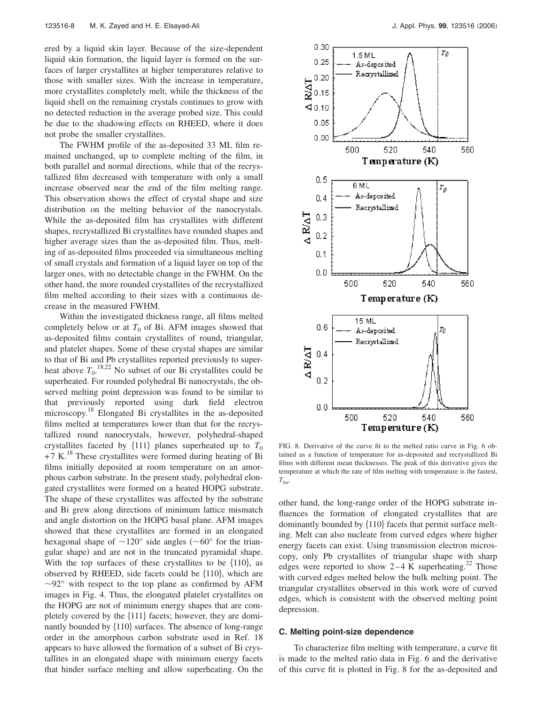ered by a liquid skin layer. Because of the size-dependent liquid skin formation, the liquid layer is formed on the surfaces of larger crystallites at higher temperatures relative to those with smaller sizes. With the increase in temperature, more crystallites completely melt, while the thickness of the liquid shell on the remaining crystals continues to grow with no detected reduction in the average probed size. This could be due to the shadowing effects on RHEED, where it does not probe the smaller crystallites.

The FWHM profile of the as-deposited 33 ML film remained unchanged, up to complete melting of the film, in both parallel and normal directions, while that of the recrystallized film decreased with temperature with only a small increase observed near the end of the film melting range. This observation shows the effect of crystal shape and size distribution on the melting behavior of the nanocrystals. While the as-deposited film has crystallites with different shapes, recrystallized Bi crystallites have rounded shapes and higher average sizes than the as-deposited film. Thus, melting of as-deposited films proceeded via simultaneous melting of small crystals and formation of a liquid layer on top of the larger ones, with no detectable change in the FWHM. On the other hand, the more rounded crystallites of the recrystallized film melted according to their sizes with a continuous decrease in the measured FWHM.

Within the investigated thickness range, all films melted completely below or at  $T_0$  of Bi. AFM images showed that as-deposited films contain crystallites of round, triangular, and platelet shapes. Some of these crystal shapes are similar to that of Bi and Pb crystallites reported previously to superheat above  $T_0$ .<sup>18,22</sup> No subset of our Bi crystallites could be superheated. For rounded polyhedral Bi nanocrystals, the observed melting point depression was found to be similar to that previously reported using dark field electron microscopy.<sup>18</sup> Elongated Bi crystallites in the as-deposited films melted at temperatures lower than that for the recrystallized round nanocrystals, however, polyhedral-shaped crystallites faceted by  $\{111\}$  planes superheated up to  $T_0$  $+7$  K.<sup>18</sup> These crystallites were formed during heating of Bi films initially deposited at room temperature on an amorphous carbon substrate. In the present study, polyhedral elongated crystallites were formed on a heated HOPG substrate. The shape of these crystallites was affected by the substrate and Bi grew along directions of minimum lattice mismatch and angle distortion on the HOPG basal plane. AFM images showed that these crystallites are formed in an elongated hexagonal shape of  $\sim 120^{\circ}$  side angles ( $\sim 60^{\circ}$  for the triangular shape) and are not in the truncated pyramidal shape. With the top surfaces of these crystallites to be  $\{110\}$ , as observed by RHEED, side facets could be  $\{110\}$ , which are  $\sim$ 92° with respect to the top plane as confirmed by AFM images in Fig. 4. Thus, the elongated platelet crystallites on the HOPG are not of minimum energy shapes that are completely covered by the  $\{111\}$  facets; however, they are dominantly bounded by  $\{110\}$  surfaces. The absence of long-range order in the amorphous carbon substrate used in Ref. 18 appears to have allowed the formation of a subset of Bi crystallites in an elongated shape with minimum energy facets that hinder surface melting and allow superheating. On the



FIG. 8. Derivative of the curve fit to the melted ratio curve in Fig. 6 obtained as a function of temperature for as-deposited and recrystallized Bi films with different mean thicknesses. The peak of this derivative gives the temperature at which the rate of film melting with temperature is the fastest,  $T_{\text{fm}}$ 

other hand, the long-range order of the HOPG substrate influences the formation of elongated crystallites that are dominantly bounded by  $\{110\}$  facets that permit surface melting. Melt can also nucleate from curved edges where higher energy facets can exist. Using transmission electron microscopy, only Pb crystallites of triangular shape with sharp edges were reported to show  $2-4$  K superheating.<sup>22</sup> Those with curved edges melted below the bulk melting point. The triangular crystallites observed in this work were of curved edges, which is consistent with the observed melting point depression.

#### **C. Melting point-size dependence**

To characterize film melting with temperature, a curve fit is made to the melted ratio data in Fig. 6 and the derivative of this curve fit is plotted in Fig. 8 for the as-deposited and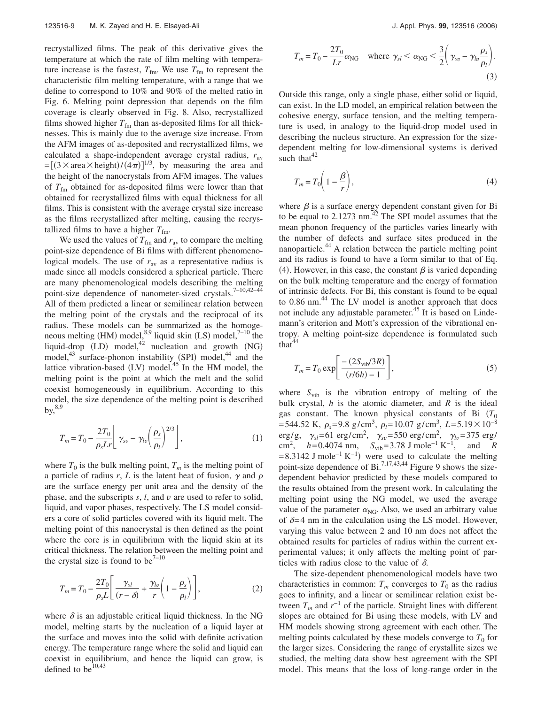recrystallized films. The peak of this derivative gives the temperature at which the rate of film melting with temperature increase is the fastest,  $T_{\text{fm}}$ . We use  $T_{\text{fm}}$  to represent the characteristic film melting temperature, with a range that we define to correspond to 10% and 90% of the melted ratio in Fig. 6. Melting point depression that depends on the film coverage is clearly observed in Fig. 8. Also, recrystallized films showed higher  $T_{\text{fm}}$  than as-deposited films for all thicknesses. This is mainly due to the average size increase. From the AFM images of as-deposited and recrystallized films, we calculated a shape-independent average crystal radius,  $r_{av}$  $=[(3 \times \text{area} \times \text{height})/(4\pi)]^{1/3}$ , by measuring the area and the height of the nanocrystals from AFM images. The values of  $T_{\text{fm}}$  obtained for as-deposited films were lower than that obtained for recrystallized films with equal thickness for all films. This is consistent with the average crystal size increase as the films recrystallized after melting, causing the recrystallized films to have a higher  $T_{\text{fm}}$ .

We used the values of  $T_{\text{fm}}$  and  $r_{\text{av}}$  to compare the melting point-size dependence of Bi films with different phenomenological models. The use of  $r_{av}$  as a representative radius is made since all models considered a spherical particle. There are many phenomenological models describing the melting point-size dependence of nanometer-sized crystals.<sup>7-10,42-44</sup> All of them predicted a linear or semilinear relation between the melting point of the crystals and the reciprocal of its radius. These models can be summarized as the homogeneous melting (HM) model, $8.9$  liquid skin (LS) model, $7-10$  the liquid-drop  $(LD)$  model,<sup>42</sup> nucleation and growth  $(NG)$ model,<sup>43</sup> surface-phonon instability (SPI) model,<sup>44</sup> and the lattice vibration-based  $(LV)$  model.<sup>45</sup> In the HM model, the melting point is the point at which the melt and the solid coexist homogeneously in equilibrium. According to this model, the size dependence of the melting point is described by,  $8,9$ 

$$
T_m = T_0 - \frac{2T_0}{\rho_s L r} \left[ \gamma_{sv} - \gamma_{lv} \left( \frac{\rho_s}{\rho_l} \right)^{2/3} \right],
$$
 (1)

where  $T_0$  is the bulk melting point,  $T_m$  is the melting point of a particle of radius  $r$ ,  $L$  is the latent heat of fusion,  $\gamma$  and  $\rho$ are the surface energy per unit area and the density of the phase, and the subscripts *s*, *l*, and *v* are used to refer to solid, liquid, and vapor phases, respectively. The LS model considers a core of solid particles covered with its liquid melt. The melting point of this nanocrystal is then defined as the point where the core is in equilibrium with the liquid skin at its critical thickness. The relation between the melting point and the crystal size is found to be<sup> $7-10$ </sup>

$$
T_m = T_0 - \frac{2T_0}{\rho_s L} \left[ \frac{\gamma_{sl}}{(r - \delta)} + \frac{\gamma_{lv}}{r} \left( 1 - \frac{\rho_s}{\rho_l} \right) \right],\tag{2}
$$

where  $\delta$  is an adjustable critical liquid thickness. In the NG model, melting starts by the nucleation of a liquid layer at the surface and moves into the solid with definite activation energy. The temperature range where the solid and liquid can coexist in equilibrium, and hence the liquid can grow, is defined to be<sup> $10,43$ </sup>

$$
T_m = T_0 - \frac{2T_0}{Lr} \alpha_{\text{NG}} \quad \text{where } \gamma_{sl} < \alpha_{\text{NG}} < \frac{3}{2} \left( \gamma_{sv} - \gamma_{lv} \frac{\rho_s}{\rho_l} \right). \tag{3}
$$

Outside this range, only a single phase, either solid or liquid, can exist. In the LD model, an empirical relation between the cohesive energy, surface tension, and the melting temperature is used, in analogy to the liquid-drop model used in describing the nucleus structure. An expression for the sizedependent melting for low-dimensional systems is derived such that  $42$ 

$$
T_m = T_0 \left( 1 - \frac{\beta}{r} \right),\tag{4}
$$

where  $\beta$  is a surface energy dependent constant given for Bi to be equal to  $2.1273$  nm.<sup>42</sup> The SPI model assumes that the mean phonon frequency of the particles varies linearly with the number of defects and surface sites produced in the nanoparticle.44 A relation between the particle melting point and its radius is found to have a form similar to that of Eq. (4). However, in this case, the constant  $\beta$  is varied depending on the bulk melting temperature and the energy of formation of intrinsic defects. For Bi, this constant is found to be equal to 0.86 nm.<sup>44</sup> The LV model is another approach that does not include any adjustable parameter.<sup>45</sup> It is based on Lindemann's criterion and Mott's expression of the vibrational entropy. A melting point-size dependence is formulated such that $44$ 

$$
T_m = T_0 \exp\left[\frac{-(2S_{\text{vib}}/3R)}{(r/6h) - 1}\right],
$$
 (5)

where  $S_{vib}$  is the vibration entropy of melting of the bulk crystal, *h* is the atomic diameter, and *R* is the ideal gas constant. The known physical constants of Bi  $(T_0)$  $= 544.52 \text{ K}, \rho_s = 9.8 \text{ g/cm}^3, \rho_l = 10.07 \text{ g/cm}^3, L = 5.19 \times 10^{-8}$ erg/g,  $\gamma_{sl}$ =61 erg/cm<sup>2</sup>,  $\gamma_{sv}$ =550 erg/cm<sup>2</sup>,  $\gamma_{lv}$ =375 erg/ cm<sup>2</sup>, *h*=0.4074 nm,  $S_{\text{vib}}$ =3.78 J mole<sup>-1</sup> K<sup>-1</sup>, and *R*  $= 8.3142$  J mole<sup>-1</sup> K<sup>-1</sup>) were used to calculate the melting point-size dependence of Bi.<sup>7,17,43,44</sup> Figure 9 shows the sizedependent behavior predicted by these models compared to the results obtained from the present work. In calculating the melting point using the NG model, we used the average value of the parameter  $\alpha_{NG}$ . Also, we used an arbitrary value of  $\delta = 4$  nm in the calculation using the LS model. However, varying this value between 2 and 10 nm does not affect the obtained results for particles of radius within the current experimental values; it only affects the melting point of particles with radius close to the value of  $\delta$ .

The size-dependent phenomenological models have two characteristics in common:  $T_m$  converges to  $T_0$  as the radius goes to infinity, and a linear or semilinear relation exist between  $T_m$  and  $r^{-1}$  of the particle. Straight lines with different slopes are obtained for Bi using these models, with LV and HM models showing strong agreement with each other. The melting points calculated by these models converge to  $T_0$  for the larger sizes. Considering the range of crystallite sizes we studied, the melting data show best agreement with the SPI model. This means that the loss of long-range order in the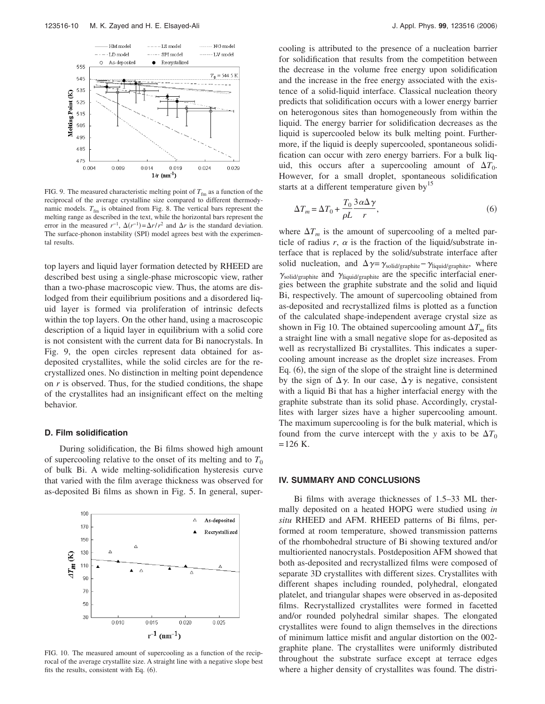

FIG. 9. The measured characteristic melting point of  $T_{\text{fm}}$  as a function of the reciprocal of the average crystalline size compared to different thermodynamic models.  $T_{\text{fm}}$  is obtained from Fig. 8. The vertical bars represent the melting range as described in the text, while the horizontal bars represent the error in the measured  $r^{-1}$ ,  $\Delta(r^{-1}) = \Delta r/r^2$  and  $\Delta r$  is the standard deviation. The surface-phonon instability (SPI) model agrees best with the experimental results.

top layers and liquid layer formation detected by RHEED are described best using a single-phase microscopic view, rather than a two-phase macroscopic view. Thus, the atoms are dislodged from their equilibrium positions and a disordered liquid layer is formed via proliferation of intrinsic defects within the top layers. On the other hand, using a macroscopic description of a liquid layer in equilibrium with a solid core is not consistent with the current data for Bi nanocrystals. In Fig. 9, the open circles represent data obtained for asdeposited crystallites, while the solid circles are for the recrystallized ones. No distinction in melting point dependence on *r* is observed. Thus, for the studied conditions, the shape of the crystallites had an insignificant effect on the melting behavior.

#### **D. Film solidification**

During solidification, the Bi films showed high amount of supercooling relative to the onset of its melting and to  $T_0$ of bulk Bi. A wide melting-solidification hysteresis curve that varied with the film average thickness was observed for as-deposited Bi films as shown in Fig. 5. In general, super-



FIG. 10. The measured amount of supercooling as a function of the reciprocal of the average crystallite size. A straight line with a negative slope best fits the results, consistent with Eq.  $(6)$ .

cooling is attributed to the presence of a nucleation barrier for solidification that results from the competition between the decrease in the volume free energy upon solidification and the increase in the free energy associated with the existence of a solid-liquid interface. Classical nucleation theory predicts that solidification occurs with a lower energy barrier on heterogonous sites than homogeneously from within the liquid. The energy barrier for solidification decreases as the liquid is supercooled below its bulk melting point. Furthermore, if the liquid is deeply supercooled, spontaneous solidification can occur with zero energy barriers. For a bulk liquid, this occurs after a supercooling amount of  $\Delta T_0$ . However, for a small droplet, spontaneous solidification starts at a different temperature given by  $15$ 

$$
\Delta T_m = \Delta T_0 + \frac{T_0}{\rho L} \frac{3\alpha \Delta \gamma}{r},\tag{6}
$$

where  $\Delta T_m$  is the amount of supercooling of a melted particle of radius  $r$ ,  $\alpha$  is the fraction of the liquid/substrate interface that is replaced by the solid/substrate interface after solid nucleation, and  $\Delta \gamma = \gamma_{\text{solid/graphic}} - \gamma_{\text{liquid/graphic}}$ , where  $\gamma_{\rm solid/graphic}$  and  $\gamma_{\rm liquid/graphic}$  are the specific interfacial energies between the graphite substrate and the solid and liquid Bi, respectively. The amount of supercooling obtained from as-deposited and recrystallized films is plotted as a function of the calculated shape-independent average crystal size as shown in Fig 10. The obtained supercooling amount  $\Delta T_m$  fits a straight line with a small negative slope for as-deposited as well as recrystallized Bi crystallites. This indicates a supercooling amount increase as the droplet size increases. From Eq. (6), the sign of the slope of the straight line is determined by the sign of  $\Delta \gamma$ . In our case,  $\Delta \gamma$  is negative, consistent with a liquid Bi that has a higher interfacial energy with the graphite substrate than its solid phase. Accordingly, crystallites with larger sizes have a higher supercooling amount. The maximum supercooling is for the bulk material, which is found from the curve intercept with the *y* axis to be  $\Delta T_0$  $= 126$  K.

#### **IV. SUMMARY AND CONCLUSIONS**

Bi films with average thicknesses of 1.5–33 ML thermally deposited on a heated HOPG were studied using *in situ* RHEED and AFM. RHEED patterns of Bi films, performed at room temperature, showed transmission patterns of the rhombohedral structure of Bi showing textured and/or multioriented nanocrystals. Postdeposition AFM showed that both as-deposited and recrystallized films were composed of separate 3D crystallites with different sizes. Crystallites with different shapes including rounded, polyhedral, elongated platelet, and triangular shapes were observed in as-deposited films. Recrystallized crystallites were formed in facetted and/or rounded polyhedral similar shapes. The elongated crystallites were found to align themselves in the directions of minimum lattice misfit and angular distortion on the 002 graphite plane. The crystallites were uniformly distributed throughout the substrate surface except at terrace edges where a higher density of crystallites was found. The distri